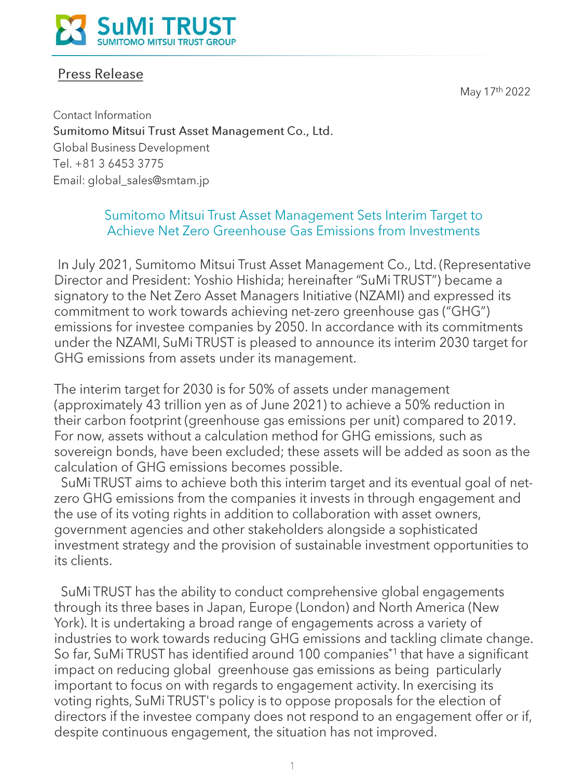May 17th 2022



## **Press Release**

Contact Information Sumitomo Mitsui Trust Asset Management Co., Ltd. Global Business Development Tel. +81 3 6453 3775 Email: global\_sales@smtam.jp

## Sumitomo Mitsui Trust Asset Management Sets Interim Target to Achieve Net Zero Greenhouse Gas Emissions from Investments

In July 2021, Sumitomo Mitsui Trust Asset Management Co., Ltd. (Representative Director and President: Yoshio Hishida; hereinafter "SuMi TRUST") became a signatory to the Net Zero Asset Managers Initiative (NZAMI) and expressed its commitment to work towards achieving net-zero greenhouse gas ("GHG") emissions for investee companies by 2050. In accordance with its commitments under the NZAMI, SuMi TRUST is pleased to announce its interim 2030 target for GHG emissions from assets under its management.

The interim target for 2030 is for 50% of assets under management (approximately 43 trillion yen as of June 2021) to achieve a 50% reduction in their carbon footprint (greenhouse gas emissions per unit) compared to 2019. For now, assets without a calculation method for GHG emissions, such as sovereign bonds, have been excluded; these assets will be added as soon as the calculation of GHG emissions becomes possible.

SuMi TRUST aims to achieve both this interim target and its eventual goal of netzero GHG emissions from the companies it invests in through engagement and the use of its voting rights in addition to collaboration with asset owners, government agencies and other stakeholders alongside a sophisticated investment strategy and the provision of sustainable investment opportunities to its clients.

SuMi TRUST has the ability to conduct comprehensive global engagements through its three bases in Japan, Europe (London) and North America (New York). It is undertaking a broad range of engagements across a variety of industries to work towards reducing GHG emissions and tackling climate change. So far, SuMi TRUST has identified around 100 companies<sup>\*1</sup> that have a significant impact on reducing global greenhouse gas emissions as being particularly important to focus on with regards to engagement activity. In exercising its voting rights, SuMi TRUST's policy is to oppose proposals for the election of directors if the investee company does not respond to an engagement offer or if, despite continuous engagement, the situation has not improved.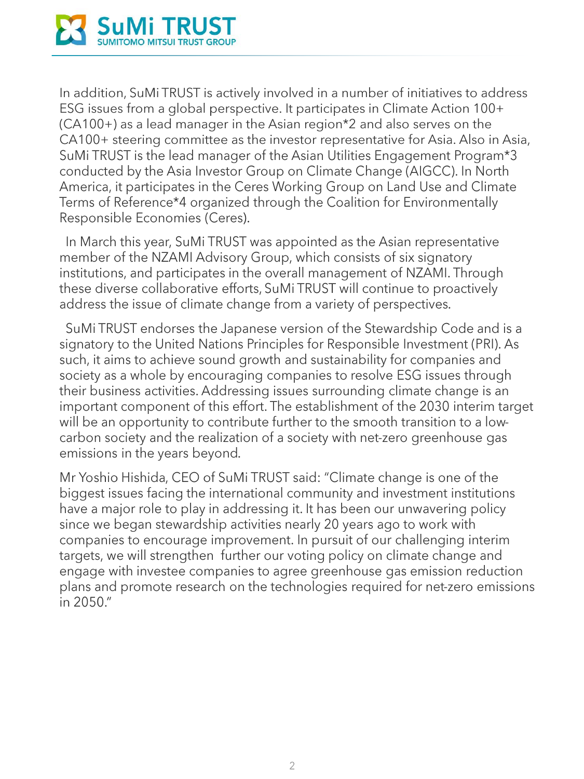

In addition, SuMi TRUST is actively involved in a number of initiatives to address ESG issues from a global perspective. It participates in Climate Action 100+ (CA100+) as a lead manager in the Asian region\*2 and also serves on the CA100+ steering committee as the investor representative for Asia. Also in Asia, SuMi TRUST is the lead manager of the Asian Utilities Engagement Program\*3 conducted by the Asia Investor Group on Climate Change (AIGCC). In North America, it participates in the Ceres Working Group on Land Use and Climate Terms of Reference\*4 organized through the Coalition for Environmentally Responsible Economies (Ceres).

In March this year, SuMi TRUST was appointed as the Asian representative member of the NZAMI Advisory Group, which consists of six signatory institutions, and participates in the overall management of NZAMI. Through these diverse collaborative efforts, SuMi TRUST will continue to proactively address the issue of climate change from a variety of perspectives.

SuMi TRUST endorses the Japanese version of the Stewardship Code and is a signatory to the United Nations Principles for Responsible Investment (PRI). As such, it aims to achieve sound growth and sustainability for companies and society as a whole by encouraging companies to resolve ESG issues through their business activities. Addressing issues surrounding climate change is an important component of this effort. The establishment of the 2030 interim target will be an opportunity to contribute further to the smooth transition to a lowcarbon society and the realization of a society with net-zero greenhouse gas emissions in the years beyond.

Mr Yoshio Hishida, CEO of SuMi TRUST said: "Climate change is one of the biggest issues facing the international community and investment institutions have a major role to play in addressing it. It has been our unwavering policy since we began stewardship activities nearly 20 years ago to work with companies to encourage improvement. In pursuit of our challenging interim targets, we will strengthen further our voting policy on climate change and engage with investee companies to agree greenhouse gas emission reduction plans and promote research on the technologies required for net-zero emissions in 2050."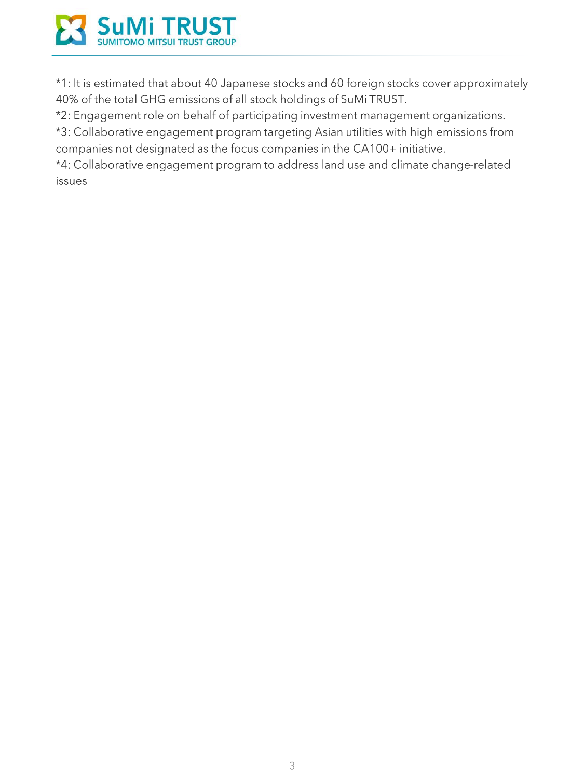

\*1: It is estimated that about 40 Japanese stocks and 60 foreign stocks cover approximately 40% of the total GHG emissions of all stock holdings of SuMi TRUST.

\*2: Engagement role on behalf of participating investment management organizations.

\*3: Collaborative engagement program targeting Asian utilities with high emissions from companies not designated as the focus companies in the CA100+ initiative.

\*4: Collaborative engagement program to address land use and climate change-related issues